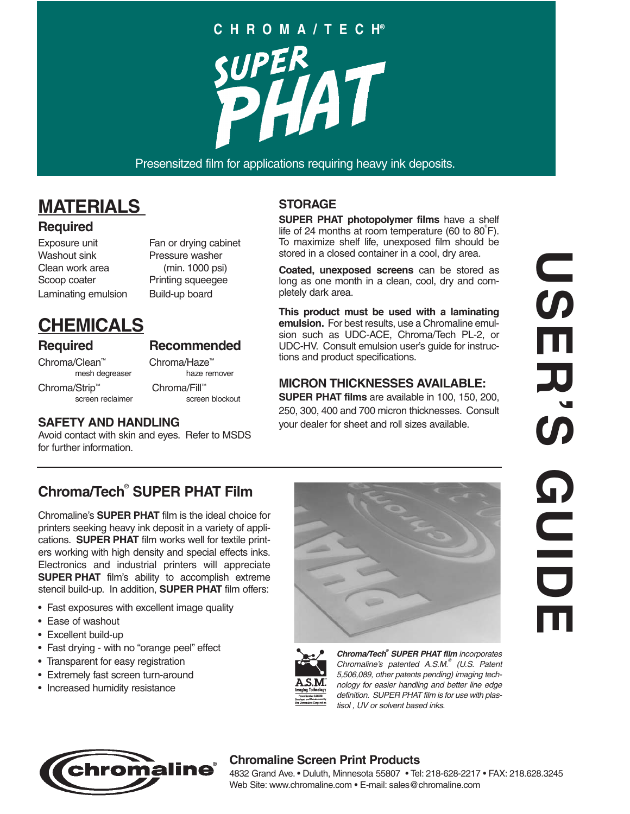# **CHROMA/TECH®**

Presensitzed film for applications requiring heavy ink deposits.

# **MATERIALS**

#### **Required**

Exposure unit Fan or drying cabinet Washout sink Pressure washer Clean work area (min. 1000 psi) Scoop coater Printing squeegee Laminating emulsion Build-up board

# **CHEMICALS**

#### **Required Recommended**

Chroma/Clean™ Chroma/Haze™ Chroma/Strip™ Chroma/Fill™<br>screen reclaimer screen blockout screen reclaimer

mesh degreaser haze remover

#### **SAFETY AND HANDLING**

Avoid contact with skin and eyes. Refer to MSDS for further information.

### **STORAGE**

**SUPER PHAT photopolymer films** have a shelf life of 24 months at room temperature (60 to  $80^{\circ}$ F). To maximize shelf life, unexposed film should be stored in a closed container in a cool, dry area.

**Coated, unexposed screens** can be stored as long as one month in a clean, cool, dry and completely dark area.

**This product must be used with a laminating emulsion.** For best results, use a Chromaline emulsion such as UDC-ACE, Chroma/Tech PL-2, or UDC-HV. Consult emulsion user's guide for instructions and product specifications.

#### **MICRON THICKNESSES AVAILABLE:**

**SUPER PHAT films** are available in 100, 150, 200, 250, 300, 400 and 700 micron thicknesses. Consult your dealer for sheet and roll sizes available.



## **Chroma/Tech**® **SUPER PHAT Film**

Chromaline's **SUPER PHAT** film is the ideal choice for printers seeking heavy ink deposit in a variety of applications. **SUPER PHAT** film works well for textile printers working with high density and special effects inks. Electronics and industrial printers will appreciate **SUPER PHAT** film's ability to accomplish extreme stencil build-up. In addition, **SUPER PHAT** film offers:

- Fast exposures with excellent image quality
- Ease of washout
- Excellent build-up
- Fast drying with no "orange peel" effect
- Transparent for easy registration
- Extremely fast screen turn-around
- Increased humidity resistance





**Chroma/Tech® SUPER PHAT film** incorporates Chromaline's patented A.S.M.<sup>®</sup> (U.S. Patent 5,506,089, other patents pending) imaging technology for easier handling and better line edge definition. SUPER PHAT film is for use with plastisol , UV or solvent based inks.



#### **Chromaline Screen Print Products**

4832 Grand Ave. • Duluth, Minnesota 55807 • Tel: 218-628-2217 • FAX: 218.628.3245 Web Site: www.chromaline.com • E-mail: sales@chromaline.com